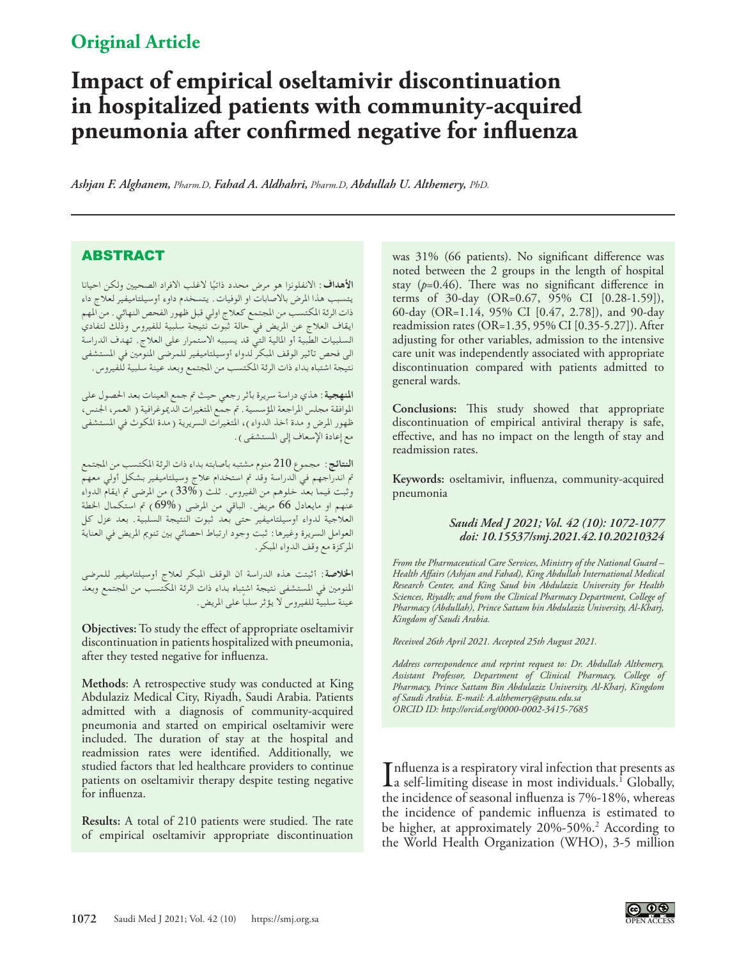## **Original Article**

# **Impact of empirical oseltamivir discontinuation in hospitalized patients with community-acquired pneumonia after confirmed negative for influenza**

*Ashjan F. Alghanem, Pharm.D, Fahad A. Aldhahri, Pharm.D, Abdullah U. Althemery, PhD.*

### ABSTRACT

الأهداف: الانفلونزا هو مرض محدد ذاتيًا لاغلب الافراد الصحيين ولكن احيانا<br>. يتسبب هذا املرض باالصابات او الوفيات. يتسخدم داوء أوسيلتاميفير لعالج داء ذات الرئة المكتسب من المجتمع كعلاج اولي قبل ظهور الفحص النهائي . من المهم ايقاف العالج عن املريض في حالة ثبوت نتيجة سلبية للفيروس وذلك لتفادي السلبيات الطبية أو املالية التي قد يسببه االستمرار على العالج. تهدف الدراسة الى فحص تأثير الوقف المبكر لدواء أوسيلتاميفير للمرضى المنومين في المستشفى نتيجة اشتباه بداء ذات الرئة املكتسب من املجتمع وبعد عينة سلبية للفيروس.

**املنهجية**: هذي دراسة سريرة بأثر رجعي حيث مت جمع العينات بعد احلصول على الموافقة مجلس المراجعة المؤسسية . تم جمع المتغيرات الديموغرافية ( العمر، الجنس، ظهور المرض و مدة أخذ الدواء )، المتغيرات السريرية ( مدة المكوث في المستشفى مع إعادة الإسعاف إلى المستشفى ) .

**النتائج**: مجموع 210 منوم مشتبه بأصابته بداء ذات الرئة املكتسب من املجتمع مت اندراجهم في الدراسة وقد مت استخدام عالج وسيلتاميفير بشكل أولي معهم وثبت فيما بعدّ خلوهم من الفيروس. ثلث ( 33% ) من المرضى تم ايقام الدواء عنهم او مايعادل 66 مريض. الباقي من المرضى ( 69%) تم استكمال الخطة العالجية لدواء أوسيلتاميفير حتى بعد ثبوت النتيجة السلبية. بعد عزل كل العوامل السريرة وغيرها: ثبت وجود ارتباط احصائي بني تنومي املريض في العناية املركزة مع وقف الدواء املبكر.

**اخلالصة**: أثبتت هذه الدراسة أن الوقف املبكر لعالج أوسيلتاميفير للمرضى املنومني في املستشفى نتيجة اشتباه بداء ذات الرئة املكتسب من املجتمع وبعد ً عينة سلبية للفيروس ال يؤثر سلبا على املريض.

**Objectives:** To study the effect of appropriate oseltamivir discontinuation in patients hospitalized with pneumonia, after they tested negative for influenza.

**Methods**: A retrospective study was conducted at King Abdulaziz Medical City, Riyadh, Saudi Arabia. Patients admitted with a diagnosis of community-acquired pneumonia and started on empirical oseltamivir were included. The duration of stay at the hospital and readmission rates were identified. Additionally, we studied factors that led healthcare providers to continue patients on oseltamivir therapy despite testing negative for influenza.

**Results:** A total of 210 patients were studied. The rate of empirical oseltamivir appropriate discontinuation

was 31% (66 patients). No significant difference was noted between the 2 groups in the length of hospital stay  $(p=0.46)$ . There was no significant difference in terms of 30-day (OR=0.67, 95% CI [0.28-1.59]), 60-day (OR=1.14, 95% CI [0.47, 2.78]), and 90-day readmission rates (OR=1.35, 95% CI [0.35-5.27]). After adjusting for other variables, admission to the intensive care unit was independently associated with appropriate discontinuation compared with patients admitted to general wards.

**Conclusions:** This study showed that appropriate discontinuation of empirical antiviral therapy is safe, effective, and has no impact on the length of stay and readmission rates.

**Keywords:** oseltamivir, influenza, community-acquired pneumonia

#### *Saudi Med J 2021; Vol. 42 (10): 1072-1077 doi: 10.15537/smj.2021.42.10.20210324*

*From the Pharmaceutical Care Services, Ministry of the National Guard – Health Affairs (Ashjan and Fahad), King Abdullah International Medical Research Center, and King Saud bin Abdulaziz University for Health Sciences, Riyadh; and from the Clinical Pharmacy Department, College of Pharmacy (Abdullah), Prince Sattam bin Abdulaziz University, Al-Kharj, Kingdom of Saudi Arabia.* 

*Received 26th April 2021. Accepted 25th August 2021.*

*Address correspondence and reprint request to: Dr. Abdullah Althemery, Assistant Professor, Department of Clinical Pharmacy, College of Pharmacy, Prince Sattam Bin Abdulaziz University, Al-Kharj, Kingdom of Saudi Arabia. E-mail: A.althemery@psau.edu.sa ORCID ID: http://orcid.org/0000-0002-3415-7685*

Influenza is a respiratory viral infection that presents as<br>a self-limiting disease in most individuals.<sup>[1](#page-5-0)</sup> Globally,<br>the insidence of secondal influenze is 70%, 180%, wherease  $\blacksquare$  nfluenza is a respiratory viral infection that presents as the incidence of seasonal influenza is 7%-18%, whereas the incidence of pandemic influenza is estimated to be higher, at approximately 20%-50%.<sup>2</sup> According to the World Health Organization (WHO), 3-5 million

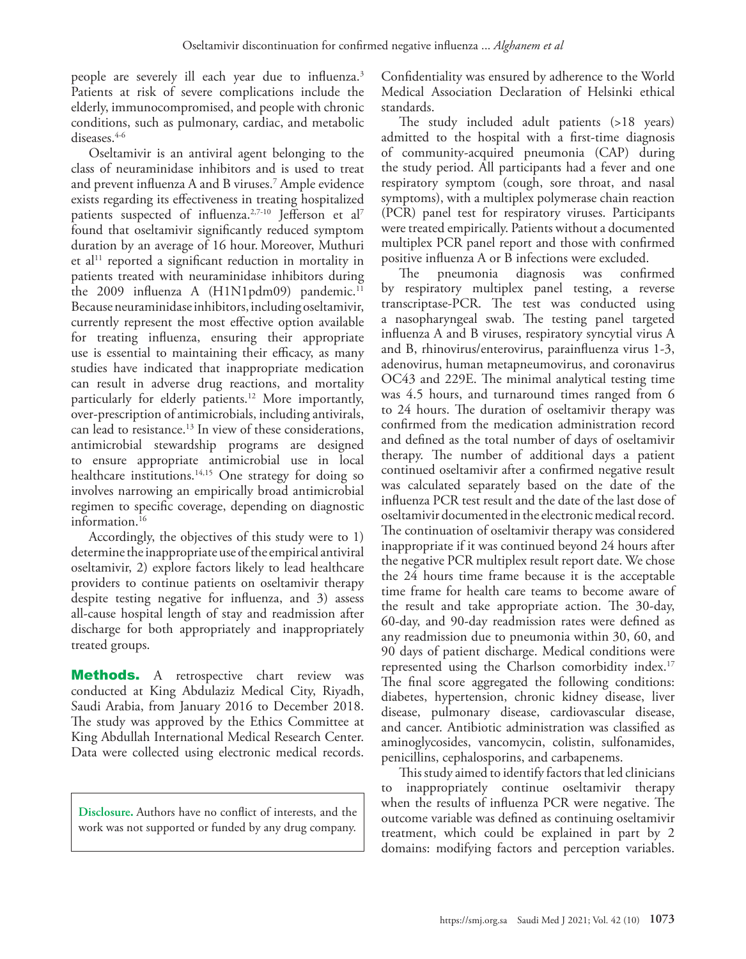people are severely ill each year due to influenza[.3](#page-5-2) Patients at risk of severe complications include the elderly, immunocompromised, and people with chronic conditions, such as pulmonary, cardiac, and metabolic diseases.[4-](#page-5-3)[6](#page-5-4)

Oseltamivir is an antiviral agent belonging to the class of neuraminidase inhibitors and is used to treat and prevent influenza A and B viruses.[7](#page-5-5) Ample evidence exists regarding its effectiveness in treating hospitalized patients suspected of influenza.<sup>[2](#page-5-1),[7-](#page-5-5)[10](#page-5-6)</sup> Jefferson et al<sup>7</sup> found that oseltamivir significantly reduced symptom duration by an average of 16 hour. Moreover, Muthuri et al<sup>11</sup> reported a significant reduction in mortality in patients treated with neuraminidase inhibitors during the 2009 influenza A (H1N1pdm09) pandemic.<sup>11</sup> Because neuraminidase inhibitors, including oseltamivir, currently represent the most effective option available for treating influenza, ensuring their appropriate use is essential to maintaining their efficacy, as many studies have indicated that inappropriate medication can result in adverse drug reactions, and mortality particularly for elderly patients.<sup>[12](#page-5-8)</sup> More importantly, over-prescription of antimicrobials, including antivirals, can lead to resistance[.13](#page-5-9) In view of these considerations, antimicrobial stewardship programs are designed to ensure appropriate antimicrobial use in local healthcare institutions.<sup>14,15</sup> One strategy for doing so involves narrowing an empirically broad antimicrobial regimen to specific coverage, depending on diagnostic information.<sup>[16](#page-5-12)</sup>

Accordingly, the objectives of this study were to 1) determine the inappropriate use of the empirical antiviral oseltamivir, 2) explore factors likely to lead healthcare providers to continue patients on oseltamivir therapy despite testing negative for influenza, and 3) assess all-cause hospital length of stay and readmission after discharge for both appropriately and inappropriately treated groups.

**Methods.** A retrospective chart review was conducted at King Abdulaziz Medical City, Riyadh, Saudi Arabia, from January 2016 to December 2018. The study was approved by the Ethics Committee at King Abdullah International Medical Research Center. Data were collected using electronic medical records.

**Disclosure.** Authors have no conflict of interests, and the work was not supported or funded by any drug company.

Confidentiality was ensured by adherence to the World Medical Association Declaration of Helsinki ethical standards.

The study included adult patients (>18 years) admitted to the hospital with a first-time diagnosis of community-acquired pneumonia (CAP) during the study period. All participants had a fever and one respiratory symptom (cough, sore throat, and nasal symptoms), with a multiplex polymerase chain reaction (PCR) panel test for respiratory viruses. Participants were treated empirically. Patients without a documented multiplex PCR panel report and those with confirmed positive influenza A or B infections were excluded.

The pneumonia diagnosis was confirmed by respiratory multiplex panel testing, a reverse transcriptase-PCR. The test was conducted using a nasopharyngeal swab. The testing panel targeted influenza A and B viruses, respiratory syncytial virus A and B, rhinovirus/enterovirus, parainfluenza virus 1-3, adenovirus, human metapneumovirus, and coronavirus OC43 and 229E. The minimal analytical testing time was 4.5 hours, and turnaround times ranged from 6 to 24 hours. The duration of oseltamivir therapy was confirmed from the medication administration record and defined as the total number of days of oseltamivir therapy. The number of additional days a patient continued oseltamivir after a confirmed negative result was calculated separately based on the date of the influenza PCR test result and the date of the last dose of oseltamivir documented in the electronic medical record. The continuation of oseltamivir therapy was considered inappropriate if it was continued beyond 24 hours after the negative PCR multiplex result report date. We chose the 24 hours time frame because it is the acceptable time frame for health care teams to become aware of the result and take appropriate action. The 30-day, 60-day, and 90-day readmission rates were defined as any readmission due to pneumonia within 30, 60, and 90 days of patient discharge. Medical conditions were represented using the Charlson comorbidity index.<sup>17</sup> The final score aggregated the following conditions: diabetes, hypertension, chronic kidney disease, liver disease, pulmonary disease, cardiovascular disease, and cancer. Antibiotic administration was classified as aminoglycosides, vancomycin, colistin, sulfonamides, penicillins, cephalosporins, and carbapenems.

This study aimed to identify factors that led clinicians to inappropriately continue oseltamivir therapy when the results of influenza PCR were negative. The outcome variable was defined as continuing oseltamivir treatment, which could be explained in part by 2 domains: modifying factors and perception variables.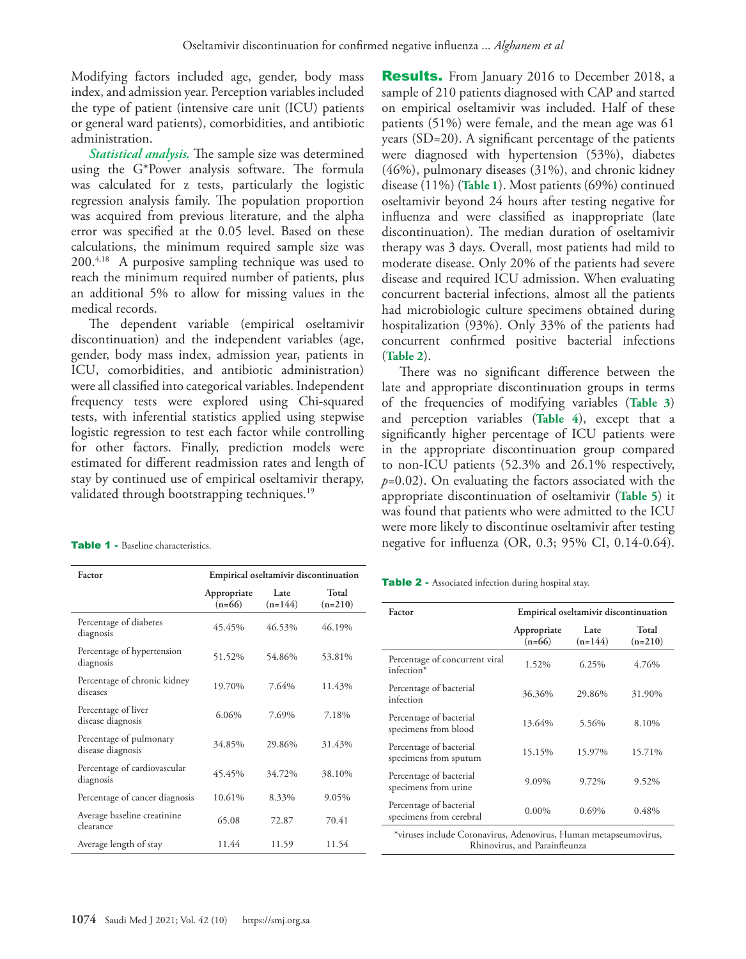Modifying factors included age, gender, body mass index, and admission year. Perception variables included the type of patient (intensive care unit (ICU) patients or general ward patients), comorbidities, and antibiotic administration.

*Statistical analysis.* The sample size was determined using the G\*Power analysis software. The formula was calculated for z tests, particularly the logistic regression analysis family. The population proportion was acquired from previous literature, and the alpha error was specified at the 0.05 level. Based on these calculations, the minimum required sample size was 200.[4,](#page-5-3)[18](#page-5-14) A purposive sampling technique was used to reach the minimum required number of patients, plus an additional 5% to allow for missing values in the medical records.

The dependent variable (empirical oseltamivir discontinuation) and the independent variables (age, gender, body mass index, admission year, patients in ICU, comorbidities, and antibiotic administration) were all classified into categorical variables. Independent frequency tests were explored using Chi-squared tests, with inferential statistics applied using stepwise logistic regression to test each factor while controlling for other factors. Finally, prediction models were estimated for different readmission rates and length of stay by continued use of empirical oseltamivir therapy, validated through bootstrapping techniques.<sup>[19](#page-5-15)</sup>

| <b>Table 1 -</b> Baseline characteristics. |
|--------------------------------------------|
|--------------------------------------------|

| Factor                                       | Empirical oseltamivir discontinuation |                   |                    |
|----------------------------------------------|---------------------------------------|-------------------|--------------------|
|                                              | Appropriate<br>$(n=66)$               | Late<br>$(n=144)$ | Total<br>$(n=210)$ |
| Percentage of diabetes<br>diagnosis          | 45.45%                                | 46.53%            | 46.19%             |
| Percentage of hypertension<br>diagnosis      | 51.52%                                | 54.86%            | 53.81%             |
| Percentage of chronic kidney<br>diseases     | 19.70%                                | 7.64%             | 11.43%             |
| Percentage of liver<br>disease diagnosis     | 6.06%                                 | 7.69%             | 7.18%              |
| Percentage of pulmonary<br>disease diagnosis | 34.85%                                | 29.86%            | 31.43%             |
| Percentage of cardiovascular<br>diagnosis    | 45.45%                                | 34.72%            | 38.10%             |
| Percentage of cancer diagnosis               | 10.61%                                | 8.33%             | 9.05%              |
| Average baseline creatinine<br>clearance     | 65.08                                 | 72.87             | 70.41              |
| Average length of stay                       | 11.44                                 | 11.59             | 11.54              |

**Results.** From January 2016 to December 2018, a sample of 210 patients diagnosed with CAP and started on empirical oseltamivir was included. Half of these patients (51%) were female, and the mean age was 61 years (SD=20). A significant percentage of the patients were diagnosed with hypertension (53%), diabetes (46%), pulmonary diseases (31%), and chronic kidney disease (11%) (**Table 1**). Most patients (69%) continued oseltamivir beyond 24 hours after testing negative for influenza and were classified as inappropriate (late discontinuation). The median duration of oseltamivir therapy was 3 days. Overall, most patients had mild to moderate disease. Only 20% of the patients had severe disease and required ICU admission. When evaluating concurrent bacterial infections, almost all the patients had microbiologic culture specimens obtained during hospitalization (93%). Only 33% of the patients had concurrent confirmed positive bacterial infections (**Table 2**).

There was no significant difference between the late and appropriate discontinuation groups in terms of the frequencies of modifying variables (**Table 3**) and perception variables (**Table 4**), except that a significantly higher percentage of ICU patients were in the appropriate discontinuation group compared to non-ICU patients (52.3% and 26.1% respectively, *p*=0.02). On evaluating the factors associated with the appropriate discontinuation of oseltamivir (**Table 5**) it was found that patients who were admitted to the ICU were more likely to discontinue oseltamivir after testing negative for influenza (OR, 0.3; 95% CI, 0.14-0.64).

Table 2 - Associated infection during hospital stay.

| Factor                                                                                            | Empirical oseltamivir discontinuation |                   |                    |  |
|---------------------------------------------------------------------------------------------------|---------------------------------------|-------------------|--------------------|--|
|                                                                                                   | Appropriate<br>$(n=66)$               | Late<br>$(n=144)$ | Total<br>$(n=210)$ |  |
| Percentage of concurrent viral<br>infection*                                                      | 1.52%                                 | 6.25%             | 4.76%              |  |
| Percentage of bacterial<br>infection                                                              | 36.36%                                | 29.86%            | 31.90%             |  |
| Percentage of bacterial<br>specimens from blood                                                   | 13.64%                                | 5.56%             | 8.10%              |  |
| Percentage of bacterial<br>specimens from sputum                                                  | 15.15%                                | 15.97%            | 15.71%             |  |
| Percentage of bacterial<br>specimens from urine                                                   | 9.09%                                 | 9.72%             | 9.52%              |  |
| Percentage of bacterial<br>specimens from cerebral                                                | $0.00\%$                              | $0.69\%$          | 0.48%              |  |
| *viruses include Coronavirus, Adenovirus, Human metapseumovirus,<br>Rhinovirus, and Parainfleunza |                                       |                   |                    |  |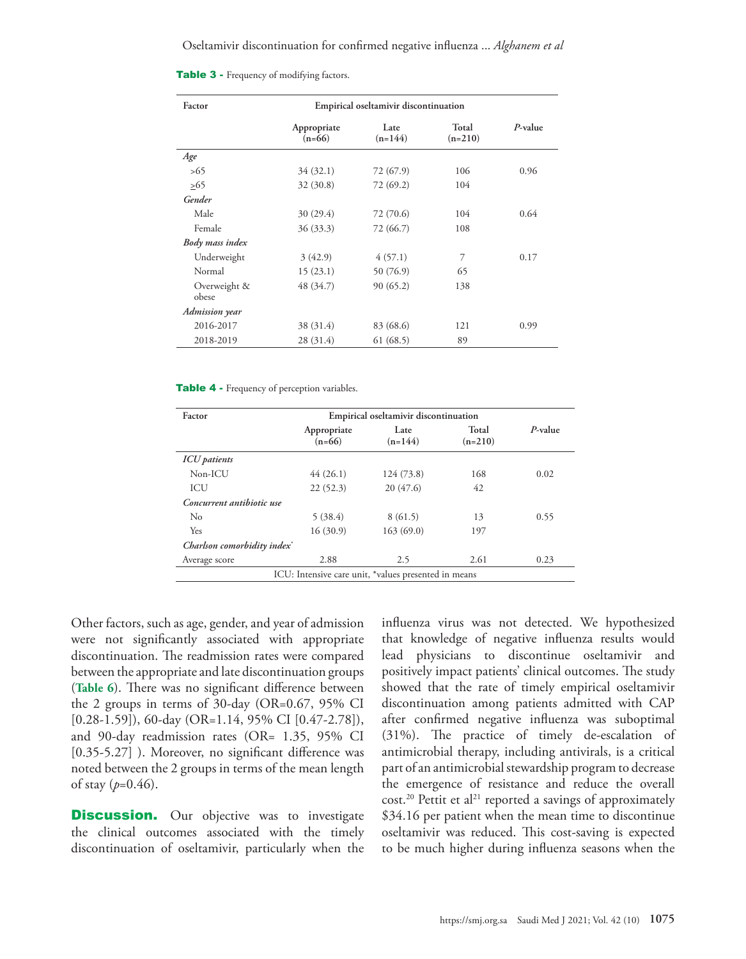| <b>Table 3 - Frequency of modifying factors.</b> |  |  |  |  |  |
|--------------------------------------------------|--|--|--|--|--|
|--------------------------------------------------|--|--|--|--|--|

| Factor                | Empirical oseltamivir discontinuation |                   |                    |         |
|-----------------------|---------------------------------------|-------------------|--------------------|---------|
|                       | Appropriate<br>$(n=66)$               | Late<br>$(n=144)$ | Total<br>$(n=210)$ | P-value |
| Age                   |                                       |                   |                    |         |
| >65                   | 34(32.1)                              | 72 (67.9)         | 106                | 0.96    |
| >65                   | 32 (30.8)                             | 72 (69.2)         | 104                |         |
| Gender                |                                       |                   |                    |         |
| Male                  | 30(29.4)                              | 72 (70.6)         | 104                | 0.64    |
| Female                | 36 (33.3)                             | 72 (66.7)         | 108                |         |
| Body mass index       |                                       |                   |                    |         |
| Underweight           | 3(42.9)                               | 4(57.1)           | 7                  | 0.17    |
| Normal                | 15(23.1)                              | 50 (76.9)         | 65                 |         |
| Overweight &<br>obese | 48 (34.7)                             | 90(65.2)          | 138                |         |
| Admission year        |                                       |                   |                    |         |
| 2016-2017             | 38 (31.4)                             | 83 (68.6)         | 121                | 0.99    |
| 2018-2019             | 28 (31.4)                             | 61(68.5)          | 89                 |         |

#### Table 4 - Frequency of perception variables.

| Factor                                  | Empirical oseltamivir discontinuation |                                                      |                    |            |
|-----------------------------------------|---------------------------------------|------------------------------------------------------|--------------------|------------|
|                                         | Appropriate<br>$(n=66)$               | Late<br>$(n=144)$                                    | Total<br>$(n=210)$ | $P$ -value |
| <b>ICU</b> patients                     |                                       |                                                      |                    |            |
| Non-ICU                                 | 44(26.1)                              | 124 (73.8)                                           | 168                | 0.02       |
| ICU                                     | 22(52.3)                              | 20(47.6)                                             | 42                 |            |
| Concurrent antibiotic use               |                                       |                                                      |                    |            |
| No                                      | 5(38.4)                               | 8(61.5)                                              | 13                 | 0.55       |
| Yes                                     | 16(30.9)                              | 163(69.0)                                            | 197                |            |
| Charlson comorbidity index <sup>*</sup> |                                       |                                                      |                    |            |
| Average score                           | 2.88                                  | 2.5                                                  | 2.61               | 0.23       |
|                                         |                                       | ICU: Intensive care unit, *values presented in means |                    |            |

Other factors, such as age, gender, and year of admission were not significantly associated with appropriate discontinuation. The readmission rates were compared between the appropriate and late discontinuation groups (**Table 6**). There was no significant difference between the 2 groups in terms of 30-day (OR=0.67, 95% CI [0.28-1.59]), 60-day (OR=1.14, 95% CI [0.47-2.78]), and 90-day readmission rates (OR= 1.35, 95% CI [0.35-5.27] ). Moreover, no significant difference was noted between the 2 groups in terms of the mean length of stay (*p*=0.46).

**Discussion.** Our objective was to investigate the clinical outcomes associated with the timely discontinuation of oseltamivir, particularly when the influenza virus was not detected. We hypothesized that knowledge of negative influenza results would lead physicians to discontinue oseltamivir and positively impact patients' clinical outcomes. The study showed that the rate of timely empirical oseltamivir discontinuation among patients admitted with CAP after confirmed negative influenza was suboptimal (31%). The practice of timely de-escalation of antimicrobial therapy, including antivirals, is a critical part of an antimicrobial stewardship program to decrease the emergence of resistance and reduce the overall cost.<sup>20</sup> Pettit et al<sup>21</sup> reported a savings of approximately \$34.16 per patient when the mean time to discontinue oseltamivir was reduced. This cost-saving is expected to be much higher during influenza seasons when the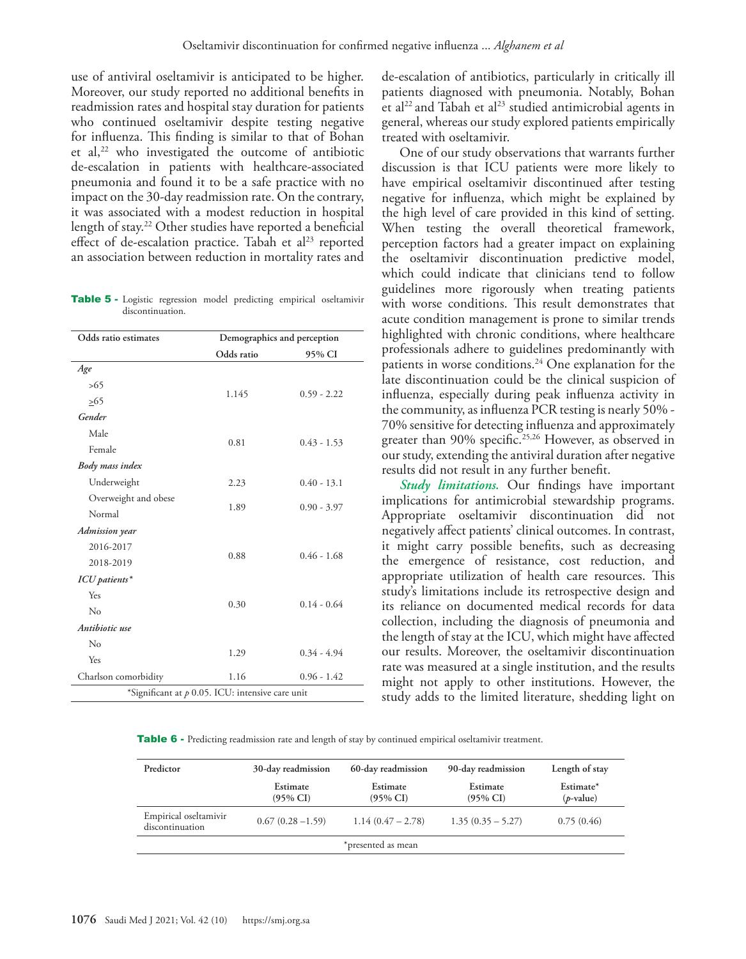use of antiviral oseltamivir is anticipated to be higher. Moreover, our study reported no additional benefits in readmission rates and hospital stay duration for patients who continued oseltamivir despite testing negative for influenza. This finding is similar to that of Bohan et al, $22$  who investigated the outcome of antibiotic de-escalation in patients with healthcare-associated pneumonia and found it to be a safe practice with no impact on the 30-day readmission rate. On the contrary, it was associated with a modest reduction in hospital length of stay[.22](#page-5-18) Other studies have reported a beneficial effect of de-escalation practice. Tabah et al<sup>23</sup> reported an association between reduction in mortality rates and

Table 5 - Logistic regression model predicting empirical oseltamivir discontinuation.

| Odds ratio estimates                               | Demographics and perception |               |  |  |
|----------------------------------------------------|-----------------------------|---------------|--|--|
|                                                    | Odds ratio<br>95% CI        |               |  |  |
| Age                                                |                             |               |  |  |
| >65                                                |                             | $0.59 - 2.22$ |  |  |
| >65                                                | 1.145                       |               |  |  |
| Gender                                             |                             |               |  |  |
| Male                                               |                             |               |  |  |
| Female                                             | 0.81                        | $0.43 - 1.53$ |  |  |
| Body mass index                                    |                             |               |  |  |
| Underweight                                        | 2.23                        | $0.40 - 13.1$ |  |  |
| Overweight and obese                               |                             |               |  |  |
| Normal                                             | 1.89                        | $0.90 - 3.97$ |  |  |
| Admission year                                     |                             |               |  |  |
| 2016-2017                                          |                             |               |  |  |
| 2018-2019                                          | 0.88                        | $0.46 - 1.68$ |  |  |
| ICU patients*                                      |                             |               |  |  |
| Yes                                                |                             |               |  |  |
| No                                                 | 0.30                        | $0.14 - 0.64$ |  |  |
| Antibiotic use                                     |                             |               |  |  |
| No                                                 |                             |               |  |  |
| Yes                                                | 1.29                        | $0.34 - 4.94$ |  |  |
| Charlson comorbidity                               | 1.16                        | $0.96 - 1.42$ |  |  |
| *Significant at $p$ 0.05. ICU: intensive care unit |                             |               |  |  |

de-escalation of antibiotics, particularly in critically ill patients diagnosed with pneumonia. Notably, Bohan et al<sup>[22](#page-5-18)</sup> and Tabah et al<sup>[23](#page-5-19)</sup> studied antimicrobial agents in general, whereas our study explored patients empirically treated with oseltamivir.

One of our study observations that warrants further discussion is that ICU patients were more likely to have empirical oseltamivir discontinued after testing negative for influenza, which might be explained by the high level of care provided in this kind of setting. When testing the overall theoretical framework, perception factors had a greater impact on explaining the oseltamivir discontinuation predictive model, which could indicate that clinicians tend to follow guidelines more rigorously when treating patients with worse conditions. This result demonstrates that acute condition management is prone to similar trends highlighted with chronic conditions, where healthcare professionals adhere to guidelines predominantly with patients in worse conditions.<sup>24</sup> One explanation for the late discontinuation could be the clinical suspicion of influenza, especially during peak influenza activity in the community, as influenza PCR testing is nearly 50% - 70% sensitive for detecting influenza and approximately greater than 90% specific.<sup>[25](#page-5-21),[26](#page-5-22)</sup> However, as observed in our study, extending the antiviral duration after negative results did not result in any further benefit.

*Study limitations.* Our findings have important implications for antimicrobial stewardship programs. Appropriate oseltamivir discontinuation did not negatively affect patients' clinical outcomes. In contrast, it might carry possible benefits, such as decreasing the emergence of resistance, cost reduction, and appropriate utilization of health care resources. This study's limitations include its retrospective design and its reliance on documented medical records for data collection, including the diagnosis of pneumonia and the length of stay at the ICU, which might have affected our results. Moreover, the oseltamivir discontinuation rate was measured at a single institution, and the results might not apply to other institutions. However, the study adds to the limited literature, shedding light on

Table 6 - Predicting readmission rate and length of stay by continued empirical oseltamivir treatment.

| Predictor                                | 30-day readmission              | 60-day readmission              | 90-day readmission              | Length of stay            |
|------------------------------------------|---------------------------------|---------------------------------|---------------------------------|---------------------------|
|                                          | Estimate<br>$(95\% \text{ CI})$ | Estimate<br>$(95\% \text{ CI})$ | Estimate<br>$(95\% \text{ CI})$ | Estimate*<br>$(p$ -value) |
| Empirical oseltamivir<br>discontinuation | $0.67(0.28 - 1.59)$             | $1.14(0.47 - 2.78)$             | $1.35(0.35 - 5.27)$             | 0.75(0.46)                |
|                                          |                                 | *presented as mean              |                                 |                           |